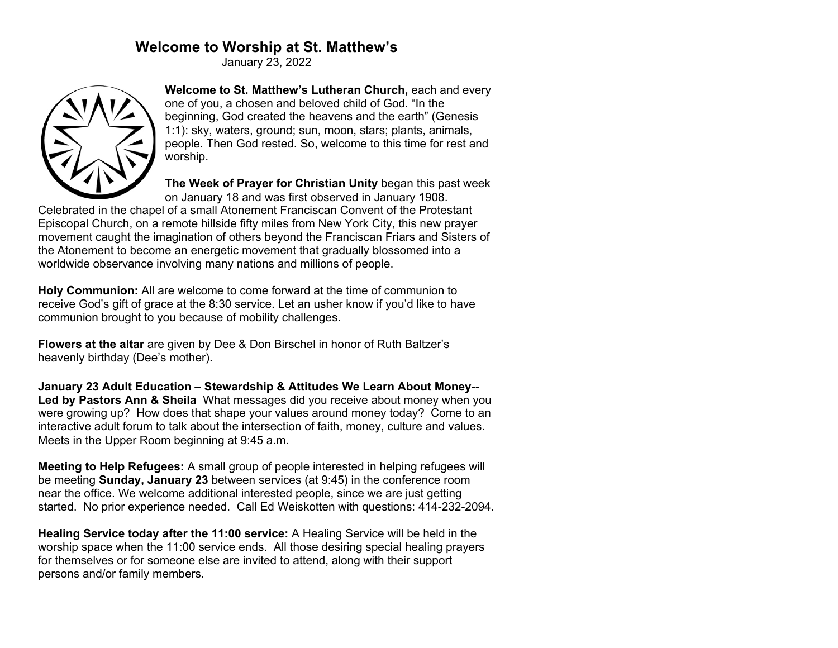# **Welcome to Worship at St. Matthew's**

January 23, 2022



**Welcome to St. Matthew's Lutheran Church,** each and every one of you, a chosen and beloved child of God. "In the beginning, God created the heavens and the earth" (Genesis 1:1): sky, waters, ground; sun, moon, stars; plants, animals, people. Then God rested. So, welcome to this time for rest and worship.

**The Week of Prayer for Christian Unity** began this past week on January 18 and was first observed in January 1908.

Celebrated in the chapel of a small Atonement Franciscan Convent of the Protestant Episcopal Church, on a remote hillside fifty miles from New York City, this new prayer movement caught the imagination of others beyond the Franciscan Friars and Sisters of the Atonement to become an energetic movement that gradually blossomed into a worldwide observance involving many nations and millions of people.

**Holy Communion:** All are welcome to come forward at the time of communion to receive God's gift of grace at the 8:30 service. Let an usher know if you'd like to have communion brought to you because of mobility challenges.

**Flowers at the altar** are given by Dee & Don Birschel in honor of Ruth Baltzer's heavenly birthday (Dee's mother).

**January 23 Adult Education – Stewardship & Attitudes We Learn About Money-- Led by Pastors Ann & Sheila** What messages did you receive about money when you were growing up? How does that shape your values around money today? Come to an interactive adult forum to talk about the intersection of faith, money, culture and values. Meets in the Upper Room beginning at 9:45 a.m.

**Meeting to Help Refugees:** A small group of people interested in helping refugees will be meeting **Sunday, January 23** between services (at 9:45) in the conference room near the office. We welcome additional interested people, since we are just getting started. No prior experience needed. Call Ed Weiskotten with questions: 414-232-2094.

**Healing Service today after the 11:00 service:** A Healing Service will be held in the worship space when the 11:00 service ends. All those desiring special healing prayers for themselves or for someone else are invited to attend, along with their support persons and/or family members.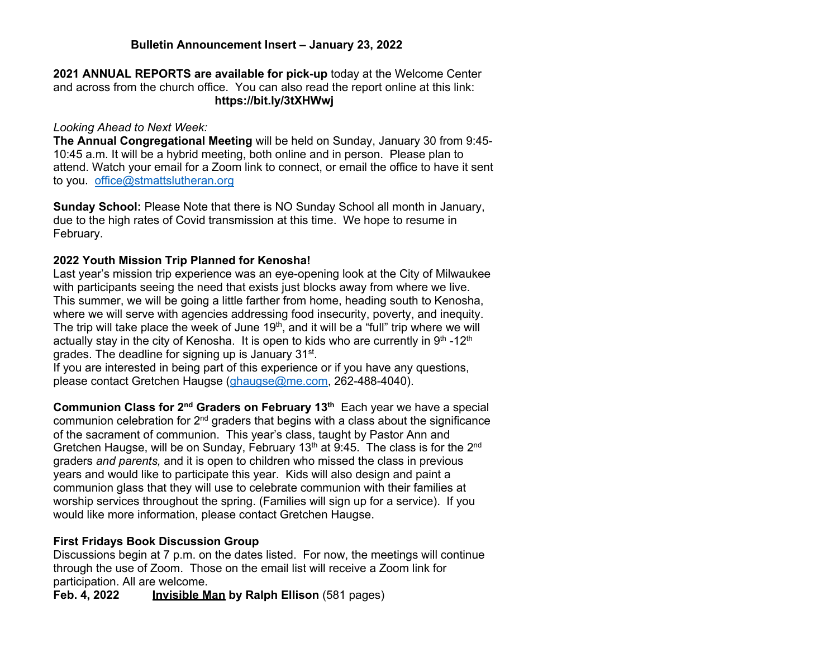## **Bulletin Announcement Insert – January 23, 2022**

**2021 ANNUAL REPORTS are available for pick-up** today at the Welcome Center and across from the church office. You can also read the report online at this link: **https://bit.ly/3tXHWwj**

#### *Looking Ahead to Next Week:*

**The Annual Congregational Meeting** will be held on Sunday, January 30 from 9:45- 10:45 a.m. It will be a hybrid meeting, both online and in person. Please plan to attend. Watch your email for a Zoom link to connect, or email the office to have it sent to you. office@stmattslutheran.org

**Sunday School:** Please Note that there is NO Sunday School all month in January, due to the high rates of Covid transmission at this time. We hope to resume in February.

#### **2022 Youth Mission Trip Planned for Kenosha!**

Last year's mission trip experience was an eye-opening look at the City of Milwaukee with participants seeing the need that exists just blocks away from where we live. This summer, we will be going a little farther from home, heading south to Kenosha, where we will serve with agencies addressing food insecurity, poverty, and inequity. The trip will take place the week of June  $19<sup>th</sup>$ , and it will be a "full" trip where we will actually stay in the city of Kenosha. It is open to kids who are currently in  $9<sup>th</sup> - 12<sup>th</sup>$ grades. The deadline for signing up is January 31<sup>st</sup>.

If you are interested in being part of this experience or if you have any questions, please contact Gretchen Haugse (ghaugse@me.com, 262-488-4040).

**Communion Class for 2nd Graders on February 13th** Each year we have a special communion celebration for  $2<sup>nd</sup>$  graders that begins with a class about the significance of the sacrament of communion. This year's class, taught by Pastor Ann and Gretchen Haugse, will be on Sunday, February 13<sup>th</sup> at 9:45. The class is for the 2<sup>nd</sup> graders *and parents,* and it is open to children who missed the class in previous years and would like to participate this year. Kids will also design and paint a communion glass that they will use to celebrate communion with their families at worship services throughout the spring. (Families will sign up for a service).If you would like more information, please contact Gretchen Haugse.

#### **First Fridays Book Discussion Group**

Discussions begin at 7 p.m. on the dates listed. For now, the meetings will continue through the use of Zoom. Those on the email list will receive a Zoom link for participation. All are welcome.

**Invisible Man by Ralph Ellison** (581 pages)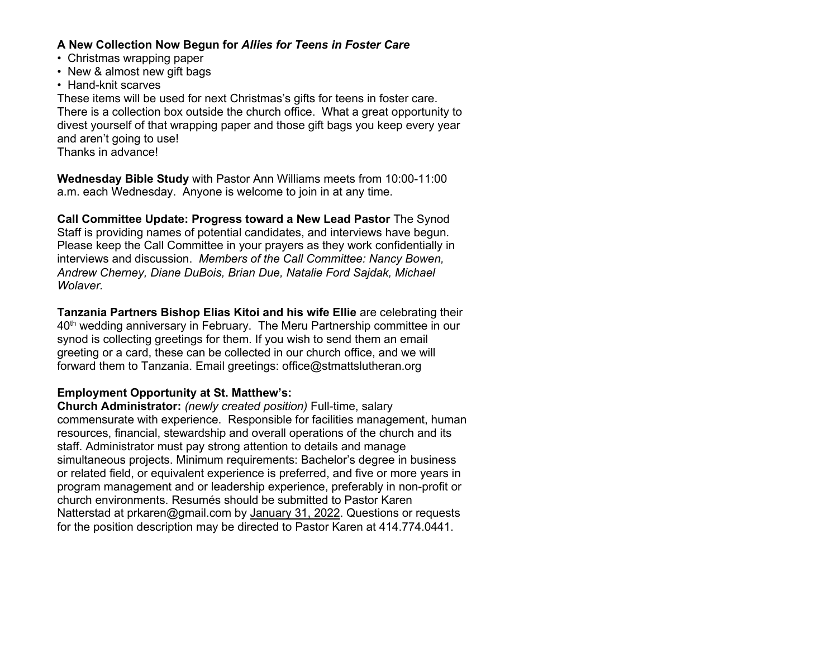## **A New Collection Now Begun for** *Allies for Teens in Foster Care*

- Christmas wrapping paper
- New & almost new gift bags
- Hand-knit scarves

These items will be used for next Christmas's gifts for teens in foster care. There is a collection box outside the church office. What a great opportunity to divest yourself of that wrapping paper and those gift bags you keep every year and aren't going to use! Thanks in advance!

**Wednesday Bible Study** with Pastor Ann Williams meets from 10:00-11:00 a.m. each Wednesday. Anyone is welcome to join in at any time.

**Call Committee Update: Progress toward a New Lead Pastor** The Synod Staff is providing names of potential candidates, and interviews have begun. Please keep the Call Committee in your prayers as they work confidentially in interviews and discussion. *Members of the Call Committee: Nancy Bowen, Andrew Cherney, Diane DuBois, Brian Due, Natalie Ford Sajdak, Michael Wolaver.*

**Tanzania Partners Bishop Elias Kitoi and his wife Ellie** are celebrating their 40<sup>th</sup> wedding anniversary in February. The Meru Partnership committee in our synod is collecting greetings for them. If you wish to send them an email greeting or a card, these can be collected in our church office, and we will forward them to Tanzania. Email greetings: office@stmattslutheran.org

## **Employment Opportunity at St. Matthew's:**

**Church Administrator:** *(newly created position)* Full-time, salary commensurate with experience. Responsible for facilities management, human resources, financial, stewardship and overall operations of the church and its staff. Administrator must pay strong attention to details and manage simultaneous projects. Minimum requirements: Bachelor's degree in business or related field, or equivalent experience is preferred, and five or more years in program management and or leadership experience, preferably in non-profit or church environments. Resumés should be submitted to Pastor Karen Natterstad at prkaren@gmail.com by January 31, 2022. Questions or requests for the position description may be directed to Pastor Karen at 414.774.0441.